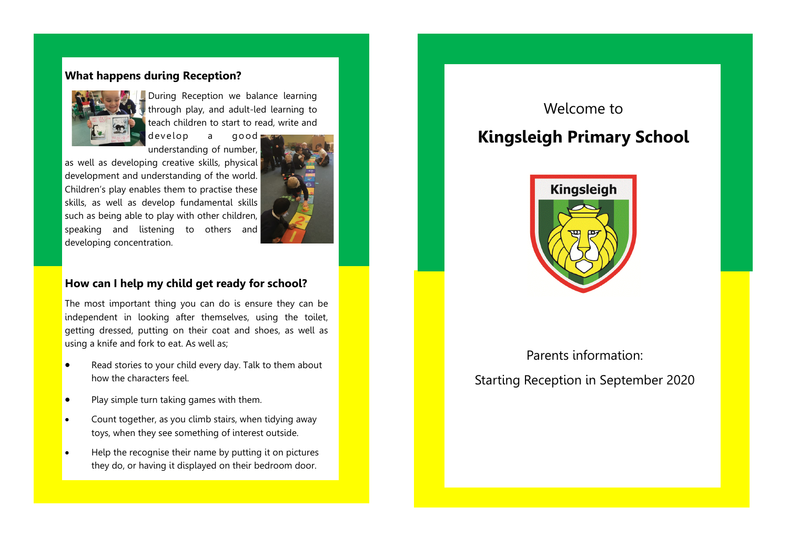## **What happens during Reception?**



During Reception we balance learning through play, and adult-led learning to teach children to start to read, write and

develop a good understanding of number,

as well as developing creative skills, physical development and understanding of the world. Children's play enables them to practise these skills, as well as develop fundamental skills such as being able to play with other children, speaking and listening to others and developing concentration.



## **How can I help my child get ready for school?**

The most important thing you can do is ensure they can be independent in looking after themselves, using the toilet, getting dressed, putting on their coat and shoes, as well as using a knife and fork to eat. As well as;

- Read stories to your child every day. Talk to them about how the characters feel.
- Play simple turn taking games with them.
- Count together, as you climb stairs, when tidying away toys, when they see something of interest outside.
- Help the recognise their name by putting it on pictures they do, or having it displayed on their bedroom door.

## Welcome to

# **Kingsleigh Primary School**



Parents information: Starting Reception in September 2020